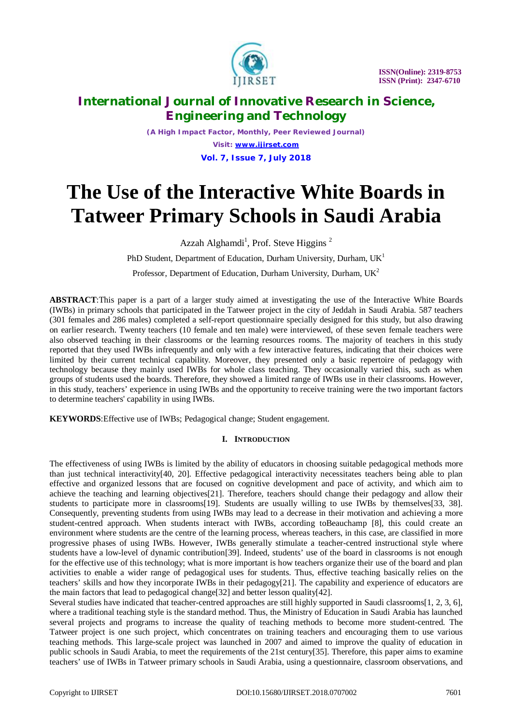

*(A High Impact Factor, Monthly, Peer Reviewed Journal) Visit: [www.ijirset.com](http://www.ijirset.com)* **Vol. 7, Issue 7, July 2018**

# **The Use of the Interactive White Boards in Tatweer Primary Schools in Saudi Arabia**

Azzah Alghamdi<sup>1</sup>, Prof. Steve Higgins<sup>2</sup>

PhD Student, Department of Education, Durham University, Durham,  $UK<sup>1</sup>$ Professor, Department of Education, Durham University, Durham, UK<sup>2</sup>

**ABSTRACT**:This paper is a part of a larger study aimed at investigating the use of the Interactive White Boards (IWBs) in primary schools that participated in the Tatweer project in the city of Jeddah in Saudi Arabia. 587 teachers (301 females and 286 males) completed a self-report questionnaire specially designed for this study, but also drawing on earlier research. Twenty teachers (10 female and ten male) were interviewed, of these seven female teachers were also observed teaching in their classrooms or the learning resources rooms. The majority of teachers in this study reported that they used IWBs infrequently and only with a few interactive features, indicating that their choices were limited by their current technical capability. Moreover, they presented only a basic repertoire of pedagogy with technology because they mainly used IWBs for whole class teaching. They occasionally varied this, such as when groups of students used the boards. Therefore, they showed a limited range of IWBs use in their classrooms. However, in this study, teachers' experience in using IWBs and the opportunity to receive training were the two important factors to determine teachers' capability in using IWBs.

**KEYWORDS**:Effective use of IWBs; Pedagogical change; Student engagement.

## **I. INTRODUCTION**

The effectiveness of using IWBs is limited by the ability of educators in choosing suitable pedagogical methods more than just technical interactivity[40, 20]. Effective pedagogical interactivity necessitates teachers being able to plan effective and organized lessons that are focused on cognitive development and pace of activity, and which aim to achieve the teaching and learning objectives[21]. Therefore, teachers should change their pedagogy and allow their students to participate more in classrooms[19]. Students are usually willing to use IWBs by themselves[33, 38]. Consequently, preventing students from using IWBs may lead to a decrease in their motivation and achieving a more student-centred approach. When students interact with IWBs, according toBeauchamp [8], this could create an environment where students are the centre of the learning process, whereas teachers, in this case, are classified in more progressive phases of using IWBs. However, IWBs generally stimulate a teacher-centred instructional style where students have a low-level of dynamic contribution[39]. Indeed, students' use of the board in classrooms is not enough for the effective use of this technology; what is more important is how teachers organize their use of the board and plan activities to enable a wider range of pedagogical uses for students. Thus, effective teaching basically relies on the teachers' skills and how they incorporate IWBs in their pedagogy[21]. The capability and experience of educators are the main factors that lead to pedagogical change[32] and better lesson quality[42].

Several studies have indicated that teacher-centred approaches are still highly supported in Saudi classrooms[1, 2, 3, 6], where a traditional teaching style is the standard method. Thus, the Ministry of Education in Saudi Arabia has launched several projects and programs to increase the quality of teaching methods to become more student-centred. The Tatweer project is one such project, which concentrates on training teachers and encouraging them to use various teaching methods. This large-scale project was launched in 2007 and aimed to improve the quality of education in public schools in Saudi Arabia, to meet the requirements of the 21st century[35]. Therefore, this paper aims to examine teachers' use of IWBs in Tatweer primary schools in Saudi Arabia, using a questionnaire, classroom observations, and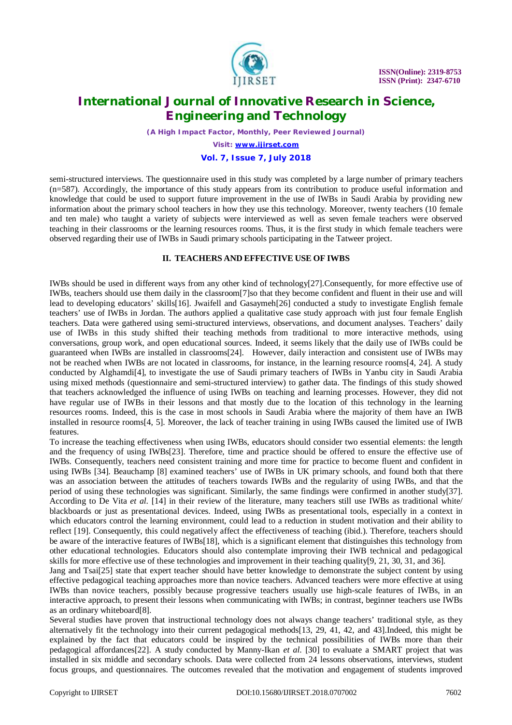

*(A High Impact Factor, Monthly, Peer Reviewed Journal)*

*Visit: [www.ijirset.com](http://www.ijirset.com)*

# **Vol. 7, Issue 7, July 2018**

semi-structured interviews. The questionnaire used in this study was completed by a large number of primary teachers (n=587). Accordingly, the importance of this study appears from its contribution to produce useful information and knowledge that could be used to support future improvement in the use of IWBs in Saudi Arabia by providing new information about the primary school teachers in how they use this technology. Moreover, twenty teachers (10 female and ten male) who taught a variety of subjects were interviewed as well as seven female teachers were observed teaching in their classrooms or the learning resources rooms. Thus, it is the first study in which female teachers were observed regarding their use of IWBs in Saudi primary schools participating in the Tatweer project.

#### **II. TEACHERS AND EFFECTIVE USE OF IWBS**

IWBs should be used in different ways from any other kind of technology[27].Consequently, for more effective use of IWBs, teachers should use them daily in the classroom[7]so that they become confident and fluent in their use and will lead to developing educators' skills[16]. Jwaifell and Gasaymeh[26] conducted a study to investigate English female teachers' use of IWBs in Jordan. The authors applied a qualitative case study approach with just four female English teachers. Data were gathered using semi-structured interviews, observations, and document analyses. Teachers' daily use of IWBs in this study shifted their teaching methods from traditional to more interactive methods, using conversations, group work, and open educational sources. Indeed, it seems likely that the daily use of IWBs could be guaranteed when IWBs are installed in classrooms[24]. However, daily interaction and consistent use of IWBs may not be reached when IWBs are not located in classrooms, for instance, in the learning resource rooms[4, 24]. A study conducted by Alghamdi[4], to investigate the use of Saudi primary teachers of IWBs in Yanbu city in Saudi Arabia using mixed methods (questionnaire and semi-structured interview) to gather data. The findings of this study showed that teachers acknowledged the influence of using IWBs on teaching and learning processes. However, they did not have regular use of IWBs in their lessons and that mostly due to the location of this technology in the learning resources rooms. Indeed, this is the case in most schools in Saudi Arabia where the majority of them have an IWB installed in resource rooms[4, 5]. Moreover, the lack of teacher training in using IWBs caused the limited use of IWB features.

To increase the teaching effectiveness when using IWBs, educators should consider two essential elements: the length and the frequency of using IWBs[23]. Therefore, time and practice should be offered to ensure the effective use of IWBs. Consequently, teachers need consistent training and more time for practice to become fluent and confident in using IWBs [34]. Beauchamp [8] examined teachers' use of IWBs in UK primary schools, and found both that there was an association between the attitudes of teachers towards IWBs and the regularity of using IWBs, and that the period of using these technologies was significant. Similarly, the same findings were confirmed in another study[37]. According to De Vita *et al*. [14] in their review of the literature, many teachers still use IWBs as traditional white/ blackboards or just as presentational devices. Indeed, using IWBs as presentational tools, especially in a context in which educators control the learning environment, could lead to a reduction in student motivation and their ability to reflect [19]. Consequently, this could negatively affect the effectiveness of teaching (ibid.). Therefore, teachers should be aware of the interactive features of IWBs[18], which is a significant element that distinguishes this technology from other educational technologies. Educators should also contemplate improving their IWB technical and pedagogical skills for more effective use of these technologies and improvement in their teaching quality[9, 21, 30, 31, and 36].

Jang and Tsai[25] state that expert teacher should have better knowledge to demonstrate the subject content by using effective pedagogical teaching approaches more than novice teachers. Advanced teachers were more effective at using IWBs than novice teachers, possibly because progressive teachers usually use high-scale features of IWBs, in an interactive approach, to present their lessons when communicating with IWBs; in contrast, beginner teachers use IWBs as an ordinary whiteboard[8].

Several studies have proven that instructional technology does not always change teachers' traditional style, as they alternatively fit the technology into their current pedagogical methods[13, 29, 41, 42, and 43].Indeed, this might be explained by the fact that educators could be inspired by the technical possibilities of IWBs more than their pedagogical affordances[22]. A study conducted by Manny-Ikan *et al*. [30] to evaluate a SMART project that was installed in six middle and secondary schools. Data were collected from 24 lessons observations, interviews, student focus groups, and questionnaires. The outcomes revealed that the motivation and engagement of students improved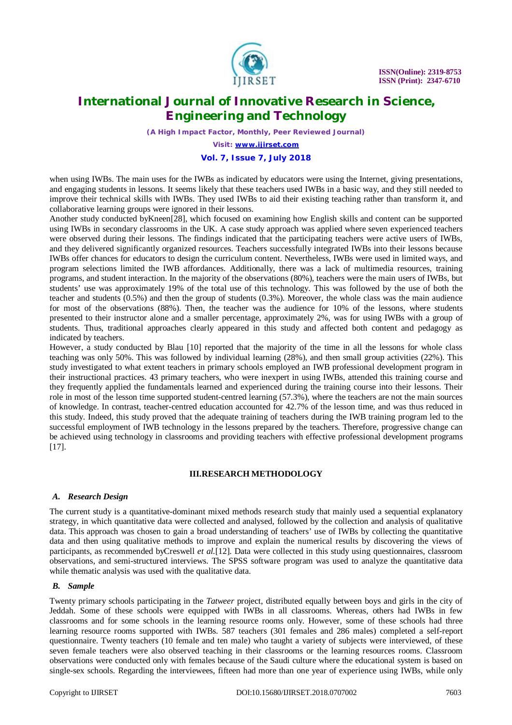

*(A High Impact Factor, Monthly, Peer Reviewed Journal)*

*Visit: [www.ijirset.com](http://www.ijirset.com)*

### **Vol. 7, Issue 7, July 2018**

when using IWBs. The main uses for the IWBs as indicated by educators were using the Internet, giving presentations, and engaging students in lessons. It seems likely that these teachers used IWBs in a basic way, and they still needed to improve their technical skills with IWBs. They used IWBs to aid their existing teaching rather than transform it, and collaborative learning groups were ignored in their lessons.

Another study conducted byKneen[28], which focused on examining how English skills and content can be supported using IWBs in secondary classrooms in the UK. A case study approach was applied where seven experienced teachers were observed during their lessons. The findings indicated that the participating teachers were active users of IWBs, and they delivered significantly organized resources. Teachers successfully integrated IWBs into their lessons because IWBs offer chances for educators to design the curriculum content. Nevertheless, IWBs were used in limited ways, and program selections limited the IWB affordances. Additionally, there was a lack of multimedia resources, training programs, and student interaction. In the majority of the observations (80%), teachers were the main users of IWBs, but students' use was approximately 19% of the total use of this technology. This was followed by the use of both the teacher and students (0.5%) and then the group of students (0.3%). Moreover, the whole class was the main audience for most of the observations (88%). Then, the teacher was the audience for 10% of the lessons, where students presented to their instructor alone and a smaller percentage, approximately 2%, was for using IWBs with a group of students. Thus, traditional approaches clearly appeared in this study and affected both content and pedagogy as indicated by teachers.

However, a study conducted by Blau [10] reported that the majority of the time in all the lessons for whole class teaching was only 50%. This was followed by individual learning (28%), and then small group activities (22%). This study investigated to what extent teachers in primary schools employed an IWB professional development program in their instructional practices. 43 primary teachers, who were inexpert in using IWBs, attended this training course and they frequently applied the fundamentals learned and experienced during the training course into their lessons. Their role in most of the lesson time supported student-centred learning (57.3%), where the teachers are not the main sources of knowledge. In contrast, teacher-centred education accounted for 42.7% of the lesson time, and was thus reduced in this study. Indeed, this study proved that the adequate training of teachers during the IWB training program led to the successful employment of IWB technology in the lessons prepared by the teachers. Therefore, progressive change can be achieved using technology in classrooms and providing teachers with effective professional development programs [17].

#### **III.RESEARCH METHODOLOGY**

#### *A. Research Design*

The current study is a quantitative-dominant mixed methods research study that mainly used a sequential explanatory strategy, in which quantitative data were collected and analysed, followed by the collection and analysis of qualitative data. This approach was chosen to gain a broad understanding of teachers' use of IWBs by collecting the quantitative data and then using qualitative methods to improve and explain the numerical results by discovering the views of participants, as recommended byCreswell *et al.*[12]. Data were collected in this study using questionnaires, classroom observations, and semi-structured interviews. The SPSS software program was used to analyze the quantitative data while thematic analysis was used with the qualitative data.

### *B. Sample*

Twenty primary schools participating in the *Tatweer* project, distributed equally between boys and girls in the city of Jeddah. Some of these schools were equipped with IWBs in all classrooms. Whereas, others had IWBs in few classrooms and for some schools in the learning resource rooms only. However, some of these schools had three learning resource rooms supported with IWBs. 587 teachers (301 females and 286 males) completed a self-report questionnaire. Twenty teachers (10 female and ten male) who taught a variety of subjects were interviewed, of these seven female teachers were also observed teaching in their classrooms or the learning resources rooms. Classroom observations were conducted only with females because of the Saudi culture where the educational system is based on single-sex schools. Regarding the interviewees, fifteen had more than one year of experience using IWBs, while only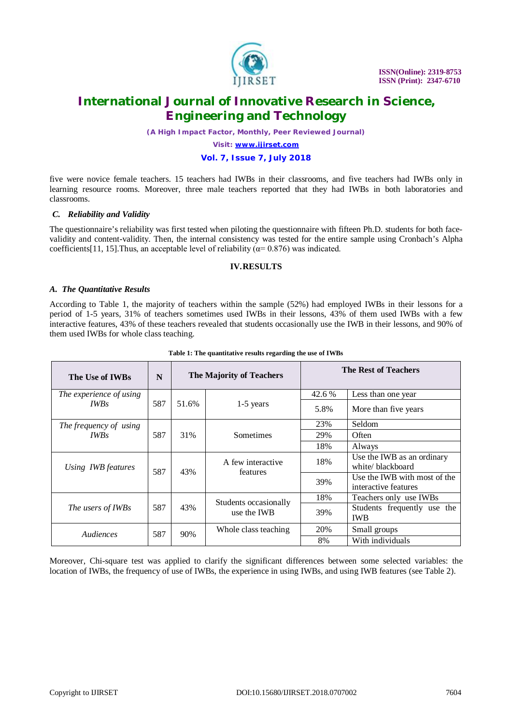

*(A High Impact Factor, Monthly, Peer Reviewed Journal)*

*Visit: [www.ijirset.com](http://www.ijirset.com)*

### **Vol. 7, Issue 7, July 2018**

five were novice female teachers. 15 teachers had IWBs in their classrooms, and five teachers had IWBs only in learning resource rooms. Moreover, three male teachers reported that they had IWBs in both laboratories and classrooms.

#### *C. Reliability and Validity*

The questionnaire's reliability was first tested when piloting the questionnaire with fifteen Ph.D. students for both facevalidity and content-validity. Then, the internal consistency was tested for the entire sample using Cronbach's Alpha coefficients[11, 15]. Thus, an acceptable level of reliability ( $\alpha$ = 0.876) was indicated.

#### **IV.RESULTS**

#### *A. The Quantitative Results*

According to Table 1, the majority of teachers within the sample (52%) had employed IWBs in their lessons for a period of 1-5 years, 31% of teachers sometimes used IWBs in their lessons, 43% of them used IWBs with a few interactive features, 43% of these teachers revealed that students occasionally use the IWB in their lessons, and 90% of them used IWBs for whole class teaching.

| The Use of IWBs         | N   |       | The Majority of Teachers             |        | The Rest of Teachers                                 |
|-------------------------|-----|-------|--------------------------------------|--------|------------------------------------------------------|
| The experience of using |     |       |                                      | 42.6 % | Less than one year                                   |
| <b>IWBs</b>             | 587 | 51.6% | $1-5$ years                          | 5.8%   | More than five years                                 |
| The frequency of using  |     |       |                                      | 23%    | Seldom                                               |
| <b>IWBs</b>             | 587 | 31%   | Sometimes                            | 29%    | Often                                                |
|                         |     |       |                                      | 18%    | Always                                               |
| Using IWB features      | 587 | 43%   | A few interactive<br>features        | 18%    | Use the IWB as an ordinary<br>white/blackboard       |
|                         |     |       |                                      | 39%    | Use the IWB with most of the<br>interactive features |
|                         |     |       |                                      | 18%    | Teachers only use IWBs                               |
| The users of IWBs       | 587 | 43%   | Students occasionally<br>use the IWB | 39%    | Students frequently use the<br><b>IWB</b>            |
| Audiences               | 587 | 90%   | Whole class teaching                 | 20%    | Small groups                                         |
|                         |     |       |                                      | 8%     | With individuals                                     |

#### **Table 1: The quantitative results regarding the use of IWBs**

Moreover, Chi-square test was applied to clarify the significant differences between some selected variables: the location of IWBs, the frequency of use of IWBs, the experience in using IWBs, and using IWB features (see Table 2).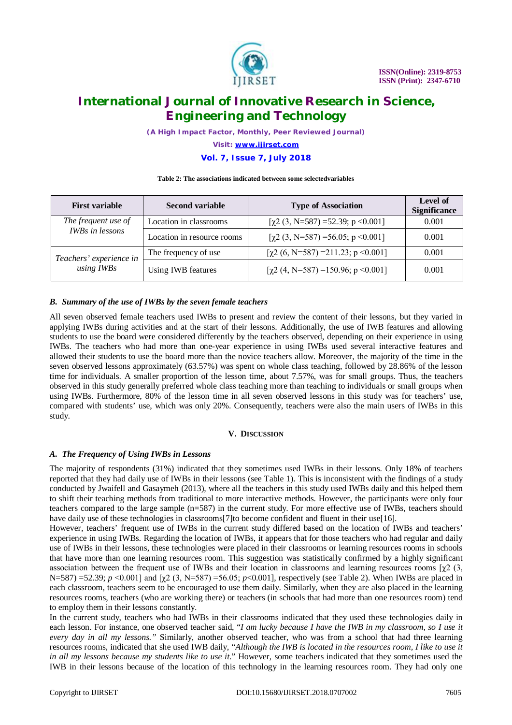

*(A High Impact Factor, Monthly, Peer Reviewed Journal)*

*Visit: [www.ijirset.com](http://www.ijirset.com)*

### **Vol. 7, Issue 7, July 2018**

#### **Table 2: The associations indicated between some selectedvariables**

| <b>First variable</b>                         | <b>Second variable</b>     | <b>Type of Association</b>              | Level of<br><b>Significance</b> |
|-----------------------------------------------|----------------------------|-----------------------------------------|---------------------------------|
| The frequent use of<br><b>IWBs</b> in lessons | Location in classrooms     | $[\chi^2(3, N=587)=52.39; p<0.001]$     | 0.001                           |
|                                               | Location in resource rooms | $[\chi^2(3, N=587)=56.05; p<0.001]$     | 0.001                           |
| Teachers' experience in<br>using IWBs         | The frequency of use       | $[\chi^2(6, N=587)=211.23; p<0.001]$    | 0.001                           |
|                                               | Using IWB features         | $[\chi2(4, N=587) = 150.96; p < 0.001]$ | 0.001                           |

#### *B. Summary of the use of IWBs by the seven female teachers*

All seven observed female teachers used IWBs to present and review the content of their lessons, but they varied in applying IWBs during activities and at the start of their lessons. Additionally, the use of IWB features and allowing students to use the board were considered differently by the teachers observed, depending on their experience in using IWBs. The teachers who had more than one-year experience in using IWBs used several interactive features and allowed their students to use the board more than the novice teachers allow. Moreover, the majority of the time in the seven observed lessons approximately (63.57%) was spent on whole class teaching, followed by 28.86% of the lesson time for individuals. A smaller proportion of the lesson time, about 7.57%, was for small groups. Thus, the teachers observed in this study generally preferred whole class teaching more than teaching to individuals or small groups when using IWBs. Furthermore, 80% of the lesson time in all seven observed lessons in this study was for teachers' use, compared with students' use, which was only 20%. Consequently, teachers were also the main users of IWBs in this study.

#### **V. DISCUSSION**

#### *A. The Frequency of Using IWBs in Lessons*

The majority of respondents (31%) indicated that they sometimes used IWBs in their lessons. Only 18% of teachers reported that they had daily use of IWBs in their lessons (see Table 1). This is inconsistent with the findings of a study conducted by Jwaifell and Gasaymeh (2013), where all the teachers in this study used IWBs daily and this helped them to shift their teaching methods from traditional to more interactive methods. However, the participants were only four teachers compared to the large sample (n=587) in the current study. For more effective use of IWBs, teachers should have daily use of these technologies in classrooms<sup>[7]</sup>to become confident and fluent in their use<sup>[16]</sup>.

However, teachers' frequent use of IWBs in the current study differed based on the location of IWBs and teachers' experience in using IWBs. Regarding the location of IWBs, it appears that for those teachers who had regular and daily use of IWBs in their lessons, these technologies were placed in their classrooms or learning resources rooms in schools that have more than one learning resources room. This suggestion was statistically confirmed by a highly significant association between the frequent use of IWBs and their location in classrooms and learning resources rooms  $[\gamma 2]$  (3, N=587) =52.39; *p* <0.001] and [χ2 (3, N=587) =56.05; *p*<0.001], respectively (see Table 2). When IWBs are placed in each classroom, teachers seem to be encouraged to use them daily. Similarly, when they are also placed in the learning resources rooms, teachers (who are working there) or teachers (in schools that had more than one resources room) tend to employ them in their lessons constantly.

In the current study, teachers who had IWBs in their classrooms indicated that they used these technologies daily in each lesson. For instance, one observed teacher said, "*I am lucky because I have the IWB in my classroom, so I use it every day in all my lessons."* Similarly, another observed teacher, who was from a school that had three learning resources rooms, indicated that she used IWB daily, "*Although the IWB is located in the resources room, I like to use it in all my lessons because my students like to use it*." However, some teachers indicated that they sometimes used the IWB in their lessons because of the location of this technology in the learning resources room. They had only one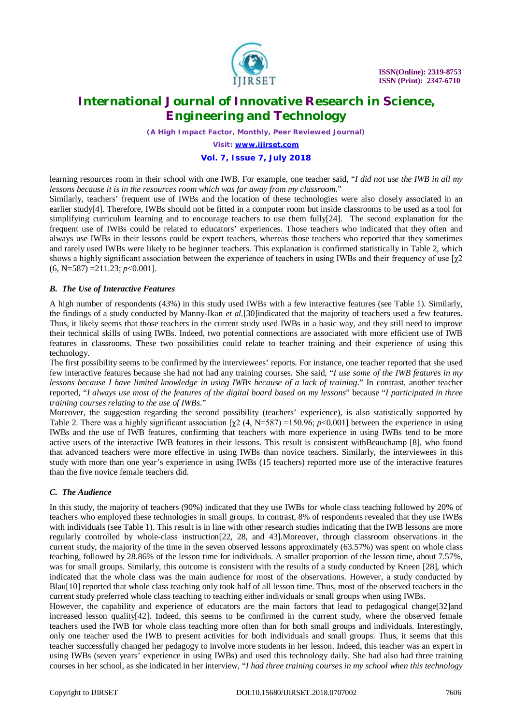

*(A High Impact Factor, Monthly, Peer Reviewed Journal)*

*Visit: [www.ijirset.com](http://www.ijirset.com)*

### **Vol. 7, Issue 7, July 2018**

learning resources room in their school with one IWB. For example, one teacher said, "*I did not use the IWB in all my lessons because it is in the resources room which was far away from my classroom*."

Similarly, teachers' frequent use of IWBs and the location of these technologies were also closely associated in an earlier study[4]. Therefore, IWBs should not be fitted in a computer room but inside classrooms to be used as a tool for simplifying curriculum learning and to encourage teachers to use them fully[24]. The second explanation for the frequent use of IWBs could be related to educators' experiences. Those teachers who indicated that they often and always use IWBs in their lessons could be expert teachers, whereas those teachers who reported that they sometimes and rarely used IWBs were likely to be beginner teachers. This explanation is confirmed statistically in Table 2, which shows a highly significant association between the experience of teachers in using IWBs and their frequency of use  $[\chi^2]$ (6, N=587) =211.23; *p*<0.001].

#### *B. The Use of Interactive Features*

A high number of respondents (43%) in this study used IWBs with a few interactive features (see Table 1). Similarly, the findings of a study conducted by Manny-Ikan *et al.*[30]indicated that the majority of teachers used a few features. Thus, it likely seems that those teachers in the current study used IWBs in a basic way, and they still need to improve their technical skills of using IWBs. Indeed, two potential connections are associated with more efficient use of IWB features in classrooms. These two possibilities could relate to teacher training and their experience of using this technology.

The first possibility seems to be confirmed by the interviewees' reports. For instance, one teacher reported that she used few interactive features because she had not had any training courses. She said, "*I use some of the IWB features in my lessons because I have limited knowledge in using IWBs because of a lack of training*." In contrast, another teacher reported, "*I always use most of the features of the digital board based on my lessons*" because "*I participated in three training courses relating to the use of IWBs*."

Moreover, the suggestion regarding the second possibility (teachers' experience), is also statistically supported by Table 2. There was a highly significant association [χ2 (4, N=587) =150.96; *p*<0.001] between the experience in using IWBs and the use of IWB features, confirming that teachers with more experience in using IWBs tend to be more active users of the interactive IWB features in their lessons. This result is consistent withBeauchamp [8], who found that advanced teachers were more effective in using IWBs than novice teachers. Similarly, the interviewees in this study with more than one year's experience in using IWBs (15 teachers) reported more use of the interactive features than the five novice female teachers did.

### *C. The Audience*

In this study, the majority of teachers (90%) indicated that they use IWBs for whole class teaching followed by 20% of teachers who employed these technologies in small groups. In contrast, 8% of respondents revealed that they use IWBs with individuals (see Table 1). This result is in line with other research studies indicating that the IWB lessons are more regularly controlled by whole-class instruction[22, 28, and 43].Moreover, through classroom observations in the current study, the majority of the time in the seven observed lessons approximately (63.57%) was spent on whole class teaching, followed by 28.86% of the lesson time for individuals. A smaller proportion of the lesson time, about 7.57%, was for small groups. Similarly, this outcome is consistent with the results of a study conducted by Kneen [28], which indicated that the whole class was the main audience for most of the observations. However, a study conducted by Blau[10] reported that whole class teaching only took half of all lesson time. Thus, most of the observed teachers in the current study preferred whole class teaching to teaching either individuals or small groups when using IWBs.

However, the capability and experience of educators are the main factors that lead to pedagogical change[32]and increased lesson quality[42]. Indeed, this seems to be confirmed in the current study, where the observed female teachers used the IWB for whole class teaching more often than for both small groups and individuals. Interestingly, only one teacher used the IWB to present activities for both individuals and small groups. Thus, it seems that this teacher successfully changed her pedagogy to involve more students in her lesson. Indeed, this teacher was an expert in using IWBs (seven years' experience in using IWBs) and used this technology daily. She had also had three training courses in her school, as she indicated in her interview, "*I had three training courses in my school when this technology*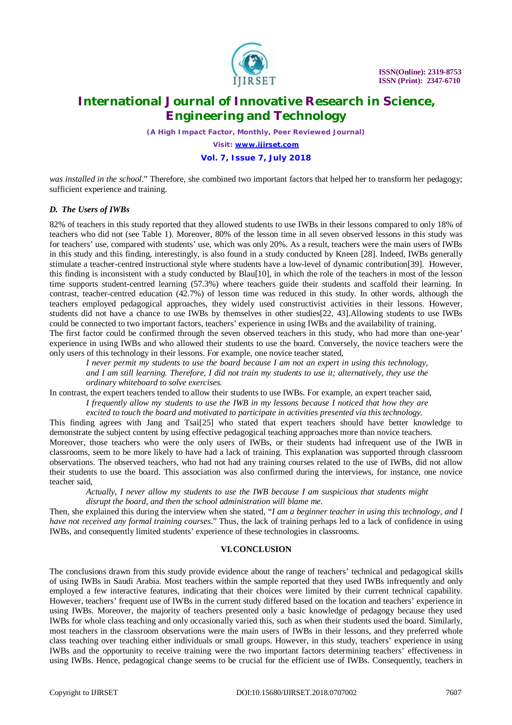

*(A High Impact Factor, Monthly, Peer Reviewed Journal)*

*Visit: [www.ijirset.com](http://www.ijirset.com)*

### **Vol. 7, Issue 7, July 2018**

*was installed in the school*." Therefore, she combined two important factors that helped her to transform her pedagogy; sufficient experience and training.

#### *D. The Users of IWBs*

82% of teachers in this study reported that they allowed students to use IWBs in their lessons compared to only 18% of teachers who did not (see Table 1). Moreover, 80% of the lesson time in all seven observed lessons in this study was for teachers' use, compared with students' use, which was only 20%. As a result, teachers were the main users of IWBs in this study and this finding, interestingly, is also found in a study conducted by Kneen [28]. Indeed, IWBs generally stimulate a teacher-centred instructional style where students have a low-level of dynamic contribution[39]. However, this finding is inconsistent with a study conducted by Blau[10], in which the role of the teachers in most of the lesson time supports student-centred learning (57.3%) where teachers guide their students and scaffold their learning. In contrast, teacher-centred education (42.7%) of lesson time was reduced in this study. In other words, although the teachers employed pedagogical approaches, they widely used constructivist activities in their lessons. However, students did not have a chance to use IWBs by themselves in other studies[22, 43].Allowing students to use IWBs could be connected to two important factors, teachers' experience in using IWBs and the availability of training.

The first factor could be confirmed through the seven observed teachers in this study, who had more than one-year' experience in using IWBs and who allowed their students to use the board. Conversely, the novice teachers were the only users of this technology in their lessons. For example, one novice teacher stated,

*I never permit my students to use the board because I am not an expert in using this technology, and I am still learning. Therefore, I did not train my students to use it; alternatively, they use the ordinary whiteboard to solve exercises.* 

In contrast, the expert teachers tended to allow their students to use IWBs. For example, an expert teacher said, *I frequently allow my students to use the IWB in my lessons because I noticed that how they are excited to touch the board and motivated to participate in activities presented via this technology.*

This finding agrees with Jang and Tsai[25] who stated that expert teachers should have better knowledge to demonstrate the subject content by using effective pedagogical teaching approaches more than novice teachers. Moreover, those teachers who were the only users of IWBs, or their students had infrequent use of the IWB in classrooms, seem to be more likely to have had a lack of training. This explanation was supported through classroom

observations. The observed teachers, who had not had any training courses related to the use of IWBs, did not allow their students to use the board. This association was also confirmed during the interviews, for instance, one novice teacher said,

*Actually, I never allow my students to use the IWB because I am suspicious that students might disrupt the board, and then the school administration will blame me.* 

Then, she explained this during the interview when she stated, "*I am a beginner teacher in using this technology, and I have not received any formal training courses*." Thus, the lack of training perhaps led to a lack of confidence in using IWBs, and consequently limited students' experience of these technologies in classrooms.

#### **VI.CONCLUSION**

The conclusions drawn from this study provide evidence about the range of teachers' technical and pedagogical skills of using IWBs in Saudi Arabia. Most teachers within the sample reported that they used IWBs infrequently and only employed a few interactive features, indicating that their choices were limited by their current technical capability. However, teachers' frequent use of IWBs in the current study differed based on the location and teachers' experience in using IWBs. Moreover, the majority of teachers presented only a basic knowledge of pedagogy because they used IWBs for whole class teaching and only occasionally varied this, such as when their students used the board. Similarly, most teachers in the classroom observations were the main users of IWBs in their lessons, and they preferred whole class teaching over teaching either individuals or small groups. However, in this study, teachers' experience in using IWBs and the opportunity to receive training were the two important factors determining teachers' effectiveness in using IWBs. Hence, pedagogical change seems to be crucial for the efficient use of IWBs. Consequently, teachers in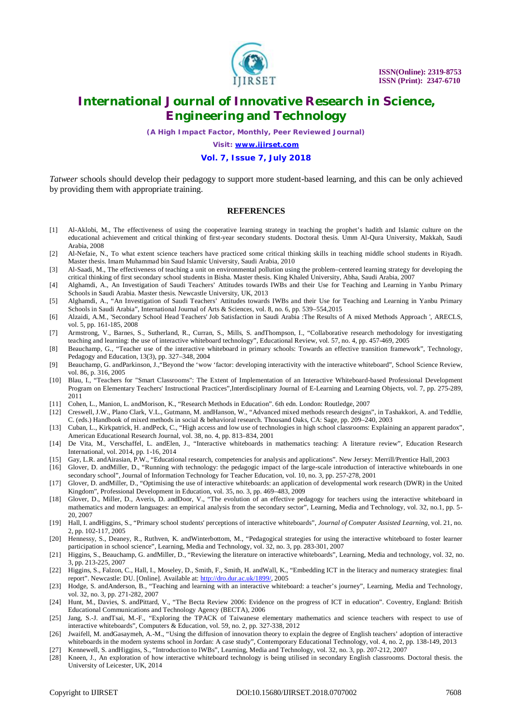

*(A High Impact Factor, Monthly, Peer Reviewed Journal)*

*Visit: [www.ijirset.com](http://www.ijirset.com)*

### **Vol. 7, Issue 7, July 2018**

*Tatweer* schools should develop their pedagogy to support more student-based learning, and this can be only achieved by providing them with appropriate training.

#### **REFERENCES**

- [1] Al-Aklobi, M., The effectiveness of using the cooperative learning strategy in teaching the prophet's hadith and Islamic culture on the educational achievement and critical thinking of first-year secondary students. Doctoral thesis. Umm Al-Qura University, Makkah, Saudi Arabia, 2008
- [2] Al-Nefaie, N., To what extent science teachers have practiced some critical thinking skills in teaching middle school students in Riyadh. Master thesis. Imam Muhammad bin Saud Islamic University, Saudi Arabia, 2010
- [3] Al-Saadi, M., The effectiveness of teaching a unit on environmental pollution using the problem–centered learning strategy for developing the critical thinking of first secondary school students in Bisha. Master thesis. King Khaled University, Abha, Saudi Arabia, 2007
- [4] Alghamdi, A., An Investigation of Saudi Teachers' Attitudes towards IWBs and their Use for Teaching and Learning in Yanbu Primary Schools in Saudi Arabia. Master thesis. Newcastle University, UK, 2013
- [5] Alghamdi, A., "An Investigation of Saudi Teachers' Attitudes towards IWBs and their Use for Teaching and Learning in Yanbu Primary Schools in Saudi Arabia", International Journal of Arts & Science*s*, vol. 8, no. 6, pp. 539–554,2015
- [6] Alzaidi, A.M., 'Secondary School Head Teachers' Job Satisfaction in Saudi Arabia :The Results of A mixed Methods Approach ', ARECLS, vol. 5, pp. 161-185, 2008
- [7] Armstrong, V., Barnes, S., Sutherland, R., Curran, S., Mills, S. andThompson, I., "Collaborative research methodology for investigating teaching and learning: the use of interactive whiteboard technology", Educational Review, vol. 57, no. 4, pp. 457-469, 2005
- [8] Beauchamp, G., "Teacher use of the interactive whiteboard in primary schools: Towards an effective transition framework", Technology, Pedagogy and Education, 13(3), pp. 327–348, 2004
- [9] Beauchamp, G. andParkinson, J.,"Beyond the 'wow 'factor: developing interactivity with the interactive whiteboard", School Science Review, vol. 86, p. 316, 2005
- [10] Blau, I., "Teachers for "Smart Classrooms": The Extent of Implementation of an Interactive Whiteboard-based Professional Development Program on Elementary Teachers' Instructional Practices",Interdisciplinary Journal of E-Learning and Learning Objects, vol. 7, pp. 275-289, 2011
- [11] Cohen, L., Manion, L. andMorison, K., "Research Methods in Education". 6th edn. London: Routledge, 2007
- [12] Creswell, J.W., Plano Clark, V.L., Gutmann, M. andHanson, W., "Advanced mixed methods research designs", in Tashakkori, A. and Teddlie, C. (eds.) Handbook of mixed methods in social & behavioral research. Thousand Oaks, CA: Sage, pp. 209–240, 2003
- [13] Cuban, L., Kirkpatrick, H. andPeck, C., "High access and low use of technologies in high school classrooms: Explaining an apparent paradox", American Educational Research Journal, vol. 38, no. 4, pp. 813–834, 2001
- [14] De Vita, M., Verschaffel, L. andElen, J., "Interactive whiteboards in mathematics teaching: A literature review", Education Research International, vol. 2014, pp. 1-16, 2014
- [15] Gay, L.R. andAirasian, P.W., "Educational research, competencies for analysis and applications". New Jersey: Merrill/Prentice Hall, 2003
- [16] Glover, D. andMiller, D., "Running with technology: the pedagogic impact of the large-scale introduction of interactive whiteboards in one secondary school", Journal of Information Technology for Teacher Education, vol. 10, no. 3, pp. 257-278, 2001
- [17] Glover, D. andMiller, D., "Optimising the use of interactive whiteboards: an application of developmental work research (DWR) in the United Kingdom", Professional Development in Education, vol. 35, no. 3, pp. 469–483, 2009
- [18] Glover, D., Miller, D., Averis, D. andDoor, V., "The evolution of an effective pedagogy for teachers using the interactive whiteboard in mathematics and modern languages: an empirical analysis from the secondary sector", Learning, Media and Technology, vol. 32, no.1, pp. 5- 20, 2007
- [19] Hall, I. andHiggins, S., "Primary school students' perceptions of interactive whiteboards", *Journal of Computer Assisted Learning*, vol. 21, no. 2, pp. 102-117, 2005
- [20] Hennessy, S., Deaney, R., Ruthven, K. andWinterbottom, M., "Pedagogical strategies for using the interactive whiteboard to foster learner participation in school science", Learning, Media and Technology, vol. 32, no. 3, pp. 283-301, 2007
- [21] Higgins, S., Beauchamp, G. andMiller, D., "Reviewing the literature on interactive whiteboards", Learning, Media and technology, vol. 32, no. 3, pp. 213-225, 2007
- [22] Higgins, S., Falzon, C., Hall, I., Moseley, D., Smith, F., Smith, H. andWall, K., "Embedding ICT in the literacy and numeracy strategies: final report". Newcastle: DU. [Online]. Available at: <http://dro.dur.ac.uk/1899/,> 2005
- [23] Hodge, S. andAnderson, B., "Teaching and learning with an interactive whiteboard: a teacher's journey", Learning, Media and Technology, vol. 32, no. 3, pp. 271-282, 2007
- [24] Hunt, M., Davies, S. andPittard, V., "The Becta Review 2006: Evidence on the progress of ICT in education". Coventry, England: British Educational Communications and Technology Agency (BECTA), 2006
- [25] Jang, S.-J. andTsai, M.-F., "Exploring the TPACK of Taiwanese elementary mathematics and science teachers with respect to use of interactive whiteboards", Computers & Education, vol. 59, no. 2, pp. 327-338, 2012
- [26] Jwaifell, M. andGasaymeh, A.-M., "Using the diffusion of innovation theory to explain the degree of English teachers' adoption of interactive whiteboards in the modern systems school in Jordan: A case study", Contemporary Educational Technology, vol. 4, no. 2, pp. 138-149, 2013
- [27] Kennewell, S. andHiggins, S., "Introduction to IWBs", Learning, Media and Technology, vol. 32, no. 3, pp. 207-212, 2007
- [28] Kneen, J., An exploration of how interactive whiteboard technology is being utilised in secondary English classrooms. Doctoral thesis. the University of Leicester, UK, 2014